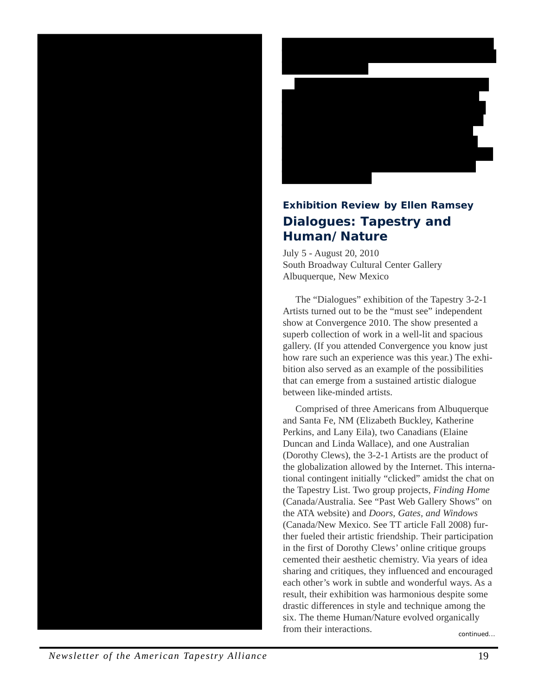



## **Exhibition Review by Ellen Ramsey Dialogues: Tapestry and Human/Nature**

July 5 - August 20, 2010 South Broadway Cultural Center Gallery Albuquerque, New Mexico

The "Dialogues" exhibition of the Tapestry 3-2-1 Artists turned out to be the "must see" independent show at Convergence 2010. The show presented a superb collection of work in a well-lit and spacious gallery. (If you attended Convergence you know just how rare such an experience was this year.) The exhibition also served as an example of the possibilities that can emerge from a sustained artistic dialogue between like-minded artists.

continued... Comprised of three Americans from Albuquerque and Santa Fe, NM (Elizabeth Buckley, Katherine Perkins, and Lany Eila), two Canadians (Elaine Duncan and Linda Wallace), and one Australian (Dorothy Clews), the 3-2-1 Artists are the product of the globalization allowed by the Internet. This international contingent initially "clicked" amidst the chat on the Tapestry List. Two group projects, *Finding Home* (Canada/Australia. See "Past Web Gallery Shows" on the ATA website) and *Doors, Gates, and Windows* (Canada/New Mexico. See TT article Fall 2008) further fueled their artistic friendship. Their participation in the first of Dorothy Clews' online critique groups cemented their aesthetic chemistry. Via years of idea sharing and critiques, they influenced and encouraged each other's work in subtle and wonderful ways. As a result, their exhibition was harmonious despite some drastic differences in style and technique among the six. The theme Human/Nature evolved organically from their interactions.

*Newsletter of the American Tapestry Alliance* 19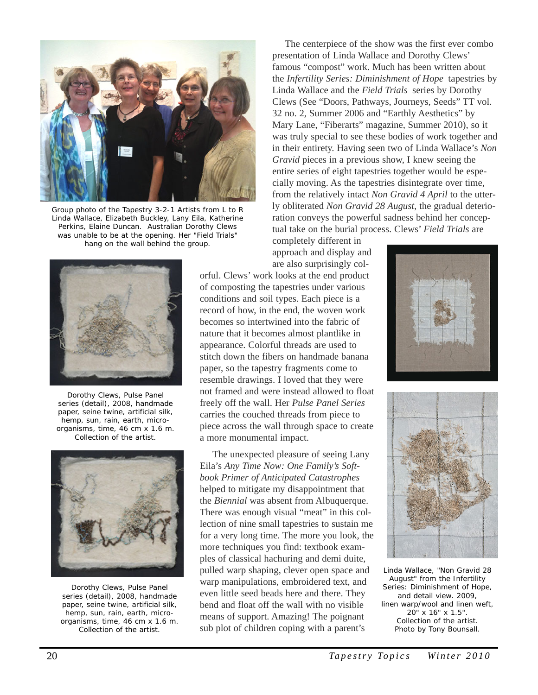

Group photo of the Tapestry 3-2-1 Artists from L to R Linda Wallace, Elizabeth Buckley, Lany Eila, Katherine Perkins, Elaine Duncan. Australian Dorothy Clews was unable to be at the opening. Her "Field Trials" hang on the wall behind the group.



Dorothy Clews, Pulse Panel series (detail), 2008, handmade paper, seine twine, artificial silk, hemp, sun, rain, earth, microorganisms, time, 46 cm x 1.6 m. Collection of the artist.



Dorothy Clews, Pulse Panel series (detail), 2008, handmade paper, seine twine, artificial silk, hemp, sun, rain, earth, microorganisms, time, 46 cm x 1.6 m. Collection of the artist.

The centerpiece of the show was the first ever combo presentation of Linda Wallace and Dorothy Clews' famous "compost" work. Much has been written about the *Infertility Series: Diminishment of Hope* tapestries by Linda Wallace and the *Field Trials* series by Dorothy Clews (See "Doors, Pathways, Journeys, Seeds" TT vol. 32 no. 2, Summer 2006 and "Earthly Aesthetics" by Mary Lane, "Fiberarts" magazine, Summer 2010), so it was truly special to see these bodies of work together and in their entirety. Having seen two of Linda Wallace's *Non Gravid* pieces in a previous show, I knew seeing the entire series of eight tapestries together would be especially moving. As the tapestries disintegrate over time, from the relatively intact *Non Gravid 4 April* to the utterly obliterated *Non Gravid 28 August*, the gradual deterioration conveys the powerful sadness behind her conceptual take on the burial process. Clews' *Field Trials* are

completely different in approach and display and are also surprisingly col-

orful. Clews' work looks at the end product of composting the tapestries under various conditions and soil types. Each piece is a record of how, in the end, the woven work becomes so intertwined into the fabric of nature that it becomes almost plantlike in appearance. Colorful threads are used to stitch down the fibers on handmade banana paper, so the tapestry fragments come to resemble drawings. I loved that they were not framed and were instead allowed to float freely off the wall. Her *Pulse Panel Series* carries the couched threads from piece to piece across the wall through space to create a more monumental impact.

The unexpected pleasure of seeing Lany Eila's *Any Time Now: One Family's Softbook Primer of Anticipated Catastrophes* helped to mitigate my disappointment that the *Biennial* was absent from Albuquerque. There was enough visual "meat" in this collection of nine small tapestries to sustain me for a very long time. The more you look, the more techniques you find: textbook examples of classical hachuring and demi duite, pulled warp shaping, clever open space and warp manipulations, embroidered text, and even little seed beads here and there. They bend and float off the wall with no visible means of support. Amazing! The poignant sub plot of children coping with a parent's





Linda Wallace, "Non Gravid 28 August" from the Infertility Series: Diminishment of Hope, and detail view. 2009, linen warp/wool and linen weft, 20" x 16" x 1.5". Collection of the artist. Photo by Tony Bounsall.